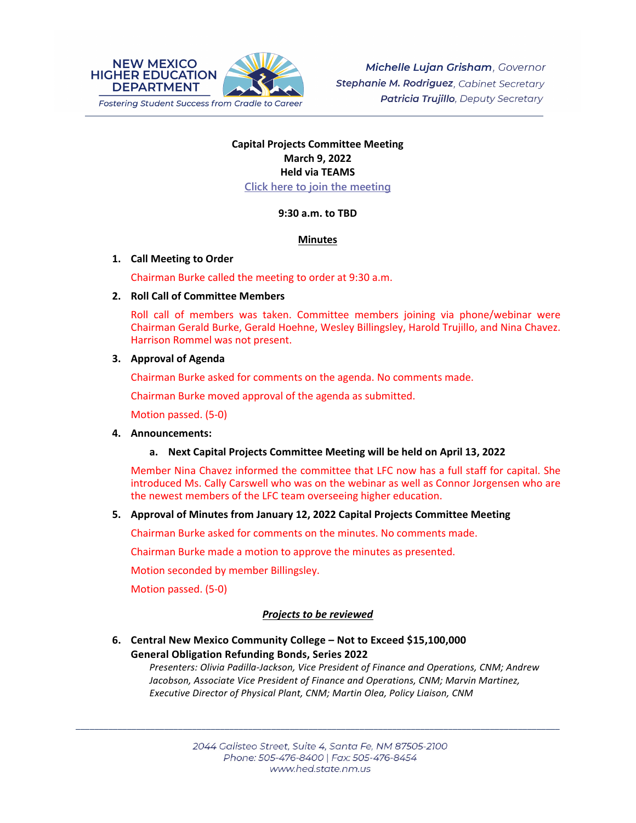

# **Capital Projects Committee Meeting March 9, 2022 Held via TEAMS [Click here to join the meeting](https://teams.microsoft.com/l/meetup-join/19%3ameeting_OWQ2YWRkMDUtNTU3Mi00NjUxLTk1OGItOGNlZDdhNjAzZThi%40thread.v2/0?context=%7b%22Tid%22%3a%2204aa6bf4-d436-426f-bfa4-04b7a70e60ff%22%2c%22Oid%22%3a%222844ecea-db84-4cd8-97b7-9d410f1aa07b%22%7d)**

### **9:30 a.m. to TBD**

### **Minutes**

### **1. Call Meeting to Order**

Chairman Burke called the meeting to order at 9:30 a.m.

### **2. Roll Call of Committee Members**

Roll call of members was taken. Committee members joining via phone/webinar were Chairman Gerald Burke, Gerald Hoehne, Wesley Billingsley, Harold Trujillo, and Nina Chavez. Harrison Rommel was not present.

### **3. Approval of Agenda**

Chairman Burke asked for comments on the agenda. No comments made.

Chairman Burke moved approval of the agenda as submitted.

Motion passed. (5-0)

#### **4. Announcements:**

## **a. Next Capital Projects Committee Meeting will be held on April 13, 2022**

Member Nina Chavez informed the committee that LFC now has a full staff for capital. She introduced Ms. Cally Carswell who was on the webinar as well as Connor Jorgensen who are the newest members of the LFC team overseeing higher education.

## **5. Approval of Minutes from January 12, 2022 Capital Projects Committee Meeting**

Chairman Burke asked for comments on the minutes. No comments made.

Chairman Burke made a motion to approve the minutes as presented.

Motion seconded by member Billingsley.

Motion passed. (5-0)

## *Projects to be reviewed*

## **6. Central New Mexico Community College – Not to Exceed \$15,100,000 General Obligation Refunding Bonds, Series 2022**

*Presenters: Olivia Padilla-Jackson, Vice President of Finance and Operations, CNM; Andrew Jacobson, Associate Vice President of Finance and Operations, CNM; Marvin Martinez, Executive Director of Physical Plant, CNM; Martin Olea, Policy Liaison, CNM*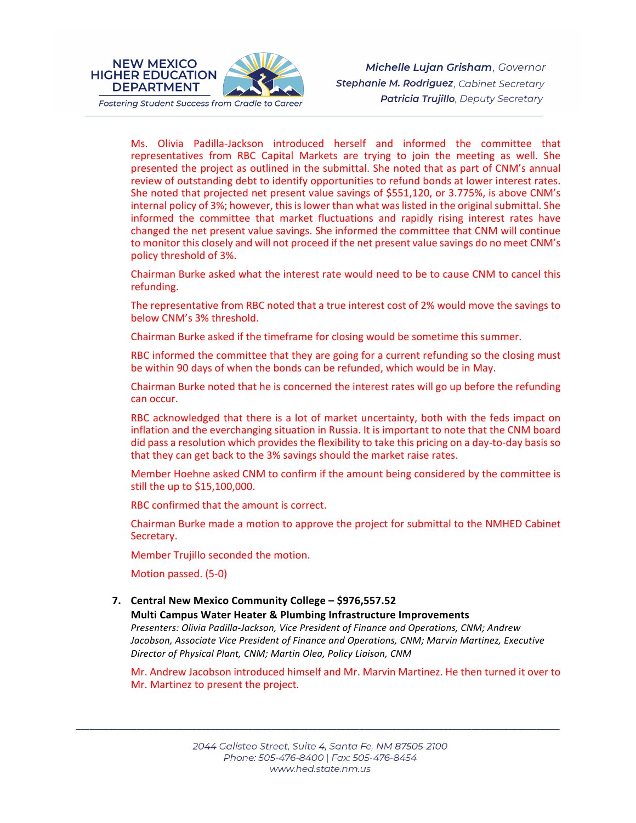

**NEW MEXICO** 

**DEPARTMENT** 

Ms. Olivia Padilla-Jackson introduced herself and informed the committee that representatives from RBC Capital Markets are trying to join the meeting as well. She presented the project as outlined in the submittal. She noted that as part of CNM's annual review of outstanding debt to identify opportunities to refund bonds at lower interest rates. She noted that projected net present value savings of \$551,120, or 3.775%, is above CNM's internal policy of 3%; however, this is lower than what was listed in the original submittal. She informed the committee that market fluctuations and rapidly rising interest rates have changed the net present value savings. She informed the committee that CNM will continue to monitor this closely and will not proceed if the net present value savings do no meet CNM's policy threshold of 3%.

Chairman Burke asked what the interest rate would need to be to cause CNM to cancel this refunding.

The representative from RBC noted that a true interest cost of 2% would move the savings to below CNM's 3% threshold.

Chairman Burke asked if the timeframe for closing would be sometime this summer.

RBC informed the committee that they are going for a current refunding so the closing must be within 90 days of when the bonds can be refunded, which would be in May.

Chairman Burke noted that he is concerned the interest rates will go up before the refunding can occur.

RBC acknowledged that there is a lot of market uncertainty, both with the feds impact on inflation and the everchanging situation in Russia. It is important to note that the CNM board did pass a resolution which provides the flexibility to take this pricing on a day-to-day basis so that they can get back to the 3% savings should the market raise rates.

Member Hoehne asked CNM to confirm if the amount being considered by the committee is still the up to \$15,100,000.

RBC confirmed that the amount is correct.

Chairman Burke made a motion to approve the project for submittal to the NMHED Cabinet Secretary.

Member Trujillo seconded the motion.

Motion passed. (5-0)

## **7. Central New Mexico Community College – \$976,557.52**

**Multi Campus Water Heater & Plumbing Infrastructure Improvements** *Presenters: Olivia Padilla-Jackson, Vice President of Finance and Operations, CNM; Andrew Jacobson, Associate Vice President of Finance and Operations, CNM; Marvin Martinez, Executive Director of Physical Plant, CNM; Martin Olea, Policy Liaison, CNM*

Mr. Andrew Jacobson introduced himself and Mr. Marvin Martinez. He then turned it over to Mr. Martinez to present the project.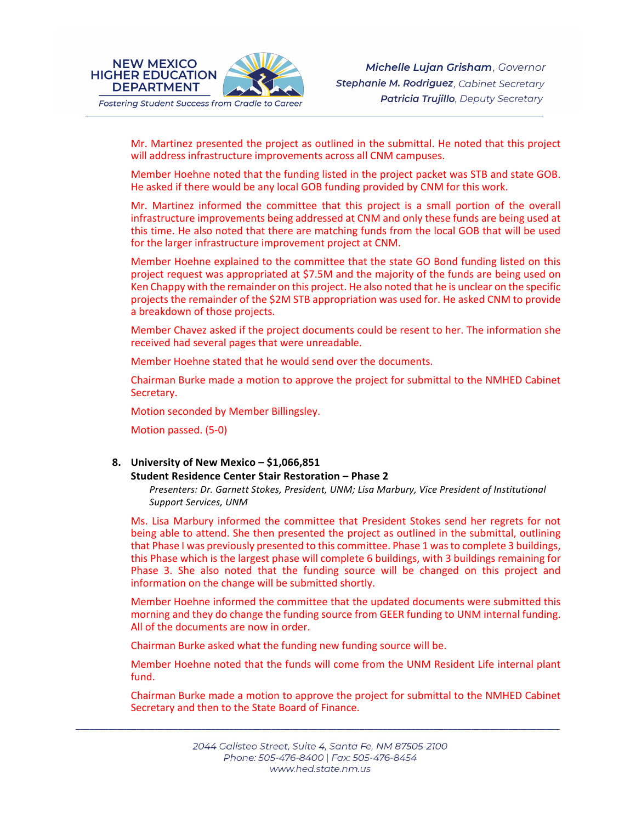

Michelle Lujan Grisham, Governor Stephanie M. Rodriguez, Cabinet Secretary **Patricia Trujillo**, Deputy Secretary

Mr. Martinez presented the project as outlined in the submittal. He noted that this project will address infrastructure improvements across all CNM campuses.

Member Hoehne noted that the funding listed in the project packet was STB and state GOB. He asked if there would be any local GOB funding provided by CNM for this work.

Mr. Martinez informed the committee that this project is a small portion of the overall infrastructure improvements being addressed at CNM and only these funds are being used at this time. He also noted that there are matching funds from the local GOB that will be used for the larger infrastructure improvement project at CNM.

Member Hoehne explained to the committee that the state GO Bond funding listed on this project request was appropriated at \$7.5M and the majority of the funds are being used on Ken Chappy with the remainder on this project. He also noted that he is unclear on the specific projects the remainder of the \$2M STB appropriation was used for. He asked CNM to provide a breakdown of those projects.

Member Chavez asked if the project documents could be resent to her. The information she received had several pages that were unreadable.

Member Hoehne stated that he would send over the documents.

Chairman Burke made a motion to approve the project for submittal to the NMHED Cabinet Secretary.

Motion seconded by Member Billingsley.

Motion passed. (5-0)

### **8. University of New Mexico – \$1,066,851**

#### **Student Residence Center Stair Restoration – Phase 2**

*Presenters: Dr. Garnett Stokes, President, UNM; Lisa Marbury, Vice President of Institutional Support Services, UNM*

Ms. Lisa Marbury informed the committee that President Stokes send her regrets for not being able to attend. She then presented the project as outlined in the submittal, outlining that Phase I was previously presented to this committee. Phase 1 was to complete 3 buildings, this Phase which is the largest phase will complete 6 buildings, with 3 buildings remaining for Phase 3. She also noted that the funding source will be changed on this project and information on the change will be submitted shortly.

Member Hoehne informed the committee that the updated documents were submitted this morning and they do change the funding source from GEER funding to UNM internal funding. All of the documents are now in order.

Chairman Burke asked what the funding new funding source will be.

Member Hoehne noted that the funds will come from the UNM Resident Life internal plant fund.

Chairman Burke made a motion to approve the project for submittal to the NMHED Cabinet Secretary and then to the State Board of Finance.